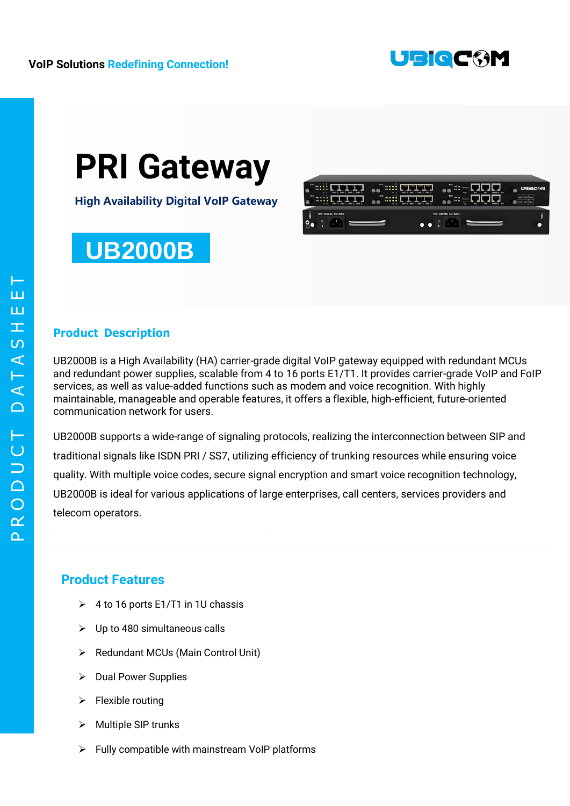

# **PRI Gateway**

**High Availability Digital VoIP Gateway**

### **UB2000B**



#### **Product Description**

UB2000B is a High Availability (HA) carrier-grade digital VoIP gateway equipped with redundant MCUs and redundant power supplies, scalable from 4 to 16 ports E1/T1. It provides carrier-grade VoIP and FoIP services, as well as value-added functions such as modem and voice recognition. With highly maintainable, manageable and operable features, it offers a flexible, high-efficient, future-oriented communication network for users.

UB2000B supports a wide-range of signaling protocols, realizing the interconnection between SIP and traditional signals like ISDN PRI / SS7, utilizing efficiency of trunking resources while ensuring voice quality. With multiple voice codes, secure signal encryption and smart voice recognition technology, UB2000B is ideal for various applications of large enterprises, call centers, services providers and telecom operators.

#### **Product Features**

- $\geq 4$  to 16 ports E1/T1 in 1U chassis
- $\triangleright$  Up to 480 simultaneous calls
- ▶ Redundant MCUs (Main Control Unit)
- $\triangleright$  Dual Power Supplies
- $\triangleright$  Flexible routing
- $\triangleright$  Multiple SIP trunks
- $\triangleright$  Fully compatible with mainstream VoIP platforms